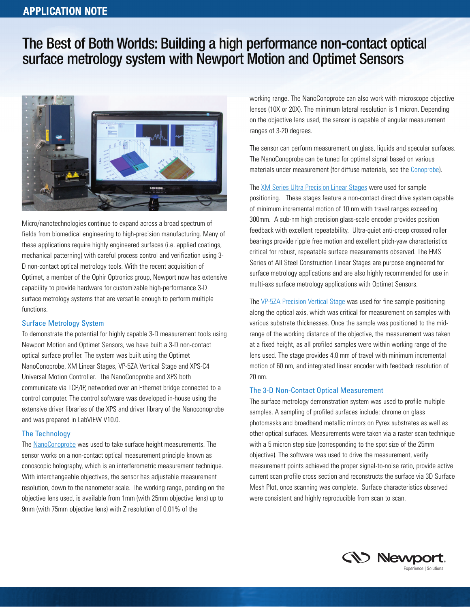# The Best of Both Worlds: Building a high performance non-contact optical surface metrology system with Newport Motion and Optimet Sensors



Micro/nanotechnologies continue to expand across a broad spectrum of fields from biomedical engineering to high-precision manufacturing. Many of these applications require highly engineered surfaces (i.e. applied coatings, mechanical patterning) with careful process control and verification using 3- D non-contact optical metrology tools. With the recent acquisition of Optimet, a member of the Ophir Optronics group, Newport now has extensive capability to provide hardware for customizable high-performance 3-D surface metrology systems that are versatile enough to perform multiple functions.

#### Surface Metrology System

To demonstrate the potential for highly capable 3-D measurement tools using Newport Motion and Optimet Sensors, we have built a 3-D non-contact optical surface profiler. The system was built using the Optimet NanoConoprobe, XM Linear Stages, VP-5ZA Vertical Stage and XPS-C4 Universal Motion Controller. The NanoConoprobe and XPS both communicate via TCP/IP, networked over an Ethernet bridge connected to a control computer. The control software was developed in-house using the extensive driver libraries of the XPS and driver library of the Nanoconoprobe and was prepared in LabVIEW V10.0.

### The Technology

The [NanoConoprobe](http://www.optimet.com/new_site/HTML/NanoConoProbe.php) was used to take surface height measurements. The sensor works on a non-contact optical measurement principle known as conoscopic holography, which is an interferometric measurement technique. With interchangeable objectives, the sensor has adjustable measurement resolution, down to the nanometer scale. The working range, pending on the objective lens used, is available from 1mm (with 25mm objective lens) up to 9mm (with 75mm objective lens) with Z resolution of 0.01% of the

working range. The NanoConoprobe can also work with microscope objective lenses (10X or 20X). The minimum lateral resolution is 1 micron. Depending on the objective lens used, the sensor is capable of angular measurement ranges of 3-20 degrees.

The sensor can perform measurement on glass, liquids and specular surfaces. The NanoConoprobe can be tuned for optimal signal based on various materials under measurement (for diffuse materials, see the [Conoprobe\)](http://www.optimet.com/new_site/HTML/conoprobe.php).

The XM Series Ultra [Precision](http://www.newport.com/XM-Series-Ultra-Precision-Linear-Motor-Stages/369840/1033/info.aspx) Linear Stages were used for sample positioning. These stages feature a non-contact direct drive system capable of minimum incremental motion of 10 nm with travel ranges exceeding 300mm. A sub-nm high precision glass-scale encoder provides position feedback with excellent repeatability. Ultra-quiet anti-creep crossed roller bearings provide ripple free motion and excellent pitch-yaw characteristics critical for robust, repeatable surface measurements observed. The FMS Series of All Steel Construction Linear Stages are purpose engineered for surface metrology applications and are also highly recommended for use in multi-axs surface metrology applications with Optimet Sensors.

The VP-5ZA [Precision](http://www.newport.com/VP-5ZA-Precision-Vertical-Linear-Stages/237307/1033/info.aspx) Vertical Stage was used for fine sample positioning along the optical axis, which was critical for measurement on samples with various substrate thicknesses. Once the sample was positioned to the midrange of the working distance of the objective, the measurement was taken at a fixed height, as all profiled samples were within working range of the lens used. The stage provides 4.8 mm of travel with minimum incremental motion of 60 nm, and integrated linear encoder with feedback resolution of 20 nm.

#### The 3-D Non-Contact Optical Measurement

The surface metrology demonstration system was used to profile multiple samples. A sampling of profiled surfaces include: chrome on glass photomasks and broadband metallic mirrors on Pyrex substrates as well as other optical surfaces. Measurements were taken via a raster scan technique with a 5 micron step size (corresponding to the spot size of the 25mm objective). The software was used to drive the measurement, verify measurement points achieved the proper signal-to-noise ratio, provide active current scan profile cross section and reconstructs the surface via 3D Surface Mesh Plot, once scanning was complete. Surface characteristics observed were consistent and highly reproducible from scan to scan.